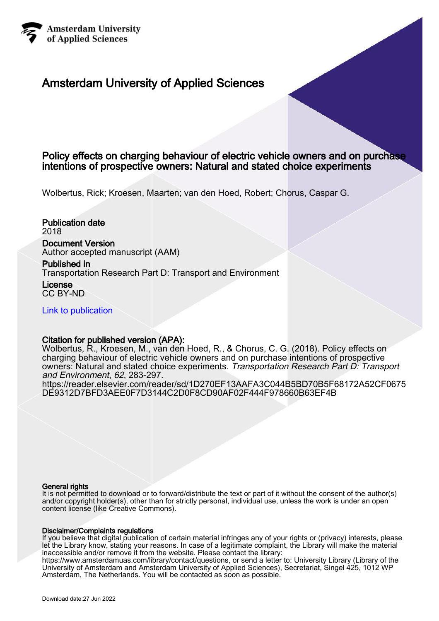

# Amsterdam University of Applied Sciences

## Policy effects on charging behaviour of electric vehicle owners and on purchase intentions of prospective owners: Natural and stated choice experiments

Wolbertus, Rick; Kroesen, Maarten; van den Hoed, Robert; Chorus, Caspar G.

Publication date 2018 Document Version

Author accepted manuscript (AAM)

#### Published in

Transportation Research Part D: Transport and Environment

License CC BY-ND

[Link to publication](https://research.hva.nl/en/publications/8a899342-4d38-4032-9898-9402c246e8f4)

# Citation for published version (APA):

Wolbertus, R., Kroesen, M., van den Hoed, R., & Chorus, C. G. (2018). Policy effects on charging behaviour of electric vehicle owners and on purchase intentions of prospective owners: Natural and stated choice experiments. Transportation Research Part D: Transport and Environment, 62, 283-297.

[https://reader.elsevier.com/reader/sd/1D270EF13AAFA3C044B5BD70B5F68172A52CF0675](https://reader.elsevier.com/reader/sd/1D270EF13AAFA3C044B5BD70B5F68172A52CF0675DE9312D7BFD3AEE0F7D3144C2D0F8CD90AF02F444F978660B63EF4B) [DE9312D7BFD3AEE0F7D3144C2D0F8CD90AF02F444F978660B63EF4B](https://reader.elsevier.com/reader/sd/1D270EF13AAFA3C044B5BD70B5F68172A52CF0675DE9312D7BFD3AEE0F7D3144C2D0F8CD90AF02F444F978660B63EF4B)

#### General rights

It is not permitted to download or to forward/distribute the text or part of it without the consent of the author(s) and/or copyright holder(s), other than for strictly personal, individual use, unless the work is under an open content license (like Creative Commons).

#### Disclaimer/Complaints regulations

If you believe that digital publication of certain material infringes any of your rights or (privacy) interests, please let the Library know, stating your reasons. In case of a legitimate complaint, the Library will make the material inaccessible and/or remove it from the website. Please contact the library:

https://www.amsterdamuas.com/library/contact/questions, or send a letter to: University Library (Library of the University of Amsterdam and Amsterdam University of Applied Sciences), Secretariat, Singel 425, 1012 WP Amsterdam, The Netherlands. You will be contacted as soon as possible.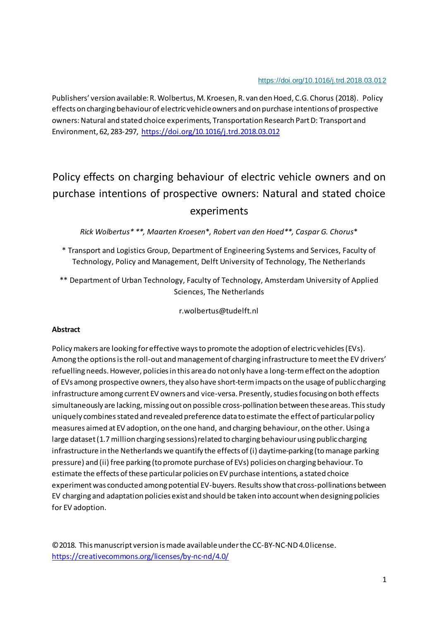Publishers' version available: R. Wolbertus, M. Kroesen, R. van den Hoed, C.G. Chorus (2018). Policy effects on charging behaviour of electric vehicle owners and on purchase intentions of prospective owners: Natural and stated choice experiments, Transportation Research Part D: Transport and Environment, 62, 283-297,<https://doi.org/10.1016/j.trd.2018.03.012>

# Policy effects on charging behaviour of electric vehicle owners and on purchase intentions of prospective owners: Natural and stated choice experiments

*Rick Wolbertus\* \*\*, Maarten Kroesen*\**, Robert van den Hoed\*\*, Caspar G. Chorus*\*

- \* Transport and Logistics Group, Department of Engineering Systems and Services, Faculty of Technology, Policy and Management, Delft University of Technology, The Netherlands
- \*\* Department of Urban Technology, Faculty of Technology, Amsterdam University of Applied Sciences, The Netherlands

r.wolbertus@tudelft.nl

#### **Abstract**

Policy makers are looking for effective ways to promote the adoption of electric vehicles (EVs). Among the options is the roll-out and management of charging infrastructure to meet the EV drivers' refuelling needs. However, policies in this area do not only have a long-term effect on the adoption of EVs among prospective owners, they also have short-term impacts on the usage of public charging infrastructure among current EV owners and vice-versa. Presently, studies focusing on both effects simultaneously are lacking, missing out on possible cross-pollination between these areas. This study uniquely combines stated and revealed preference data to estimate the effect of particularpolicy measures aimed at EV adoption, on the one hand, and charging behaviour, on the other. Using a large dataset(1.7 million charging sessions) related to charging behaviour using public charging infrastructure in the Netherlands we quantify the effects of (i) daytime-parking (to manage parking pressure) and (ii) free parking (to promote purchase of EVs) policies on charging behaviour. To estimate the effects of these particularpolicies on EV purchase intentions, a stated choice experiment was conducted among potential EV-buyers. Results show that cross-pollinations between EV charging and adaptation policies exist and should be taken into account when designing policies for EV adoption.

©2018. This manuscript version is made available under the CC-BY-NC-ND 4.0 license. <https://creativecommons.org/licenses/by-nc-nd/4.0/>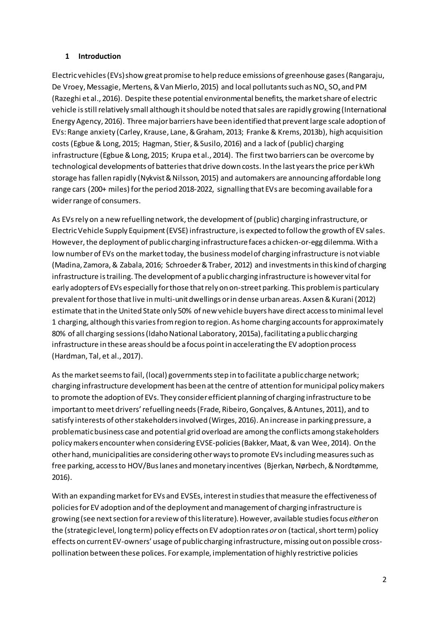#### **1 Introduction**

Electric vehicles(EVs)show great promise to help reduce emissions of greenhouse gases(Rangaraju, De Vroey, Messagie, Mertens, & Van Mierlo, 2015) and local pollutants such as  $NO<sub>x</sub> SO<sub>x</sub>$  and PM (Razeghi et al., 2016). Despite these potential environmental benefits, the market share of electric vehicle is still relatively small although it should be noted that sales are rapidly growing (International Energy Agency, 2016). Three major barriers have been identified that prevent large scale adoption of EVs: Range anxiety (Carley, Krause, Lane, & Graham, 2013; Franke & Krems, 2013b), high acquisition costs (Egbue & Long, 2015; Hagman, Stier, & Susilo, 2016) and a lack of (public) charging infrastructure (Egbue & Long, 2015; Krupa et al., 2014). The first two barriers can be overcome by technological developments of batteries that drive down costs. In the last years the price per kWh storage has fallen rapidly (Nykvist & Nilsson, 2015) and automakers are announcing affordable long range cars (200+ miles) for the period 2018-2022, signalling that EVs are becoming available for a wider range of consumers.

As EVs rely on a new refuelling network, the development of (public) charging infrastructure, or Electric Vehicle Supply Equipment (EVSE) infrastructure, is expected to follow the growth of EV sales. However, the deployment of public charging infrastructure faces a chicken-or-egg dilemma. With a low number of EVs on the market today, the business model of charging infrastructure is not viable (Madina, Zamora, & Zabala, 2016; Schroeder & Traber, 2012) and investments in this kind of charging infrastructure is trailing. The development of a public charging infrastructure is however vital for early adopters of EVs especially for those that rely on on-street parking. This problem is particulary prevalent for those that live in multi-unit dwellings or in dense urban areas. Axsen & Kurani (2012) estimate that in the United State only 50% of new vehicle buyers have direct access to minimal level 1 charging, although this varies from region to region. As home charging accounts for approximately 80% of all charging sessions (Idaho National Laboratory, 2015a), facilitating a public charging infrastructure in these areas should be a focus point in accelerating the EV adoption process (Hardman, Tal, et al., 2017).

As the market seems to fail,(local) governments step in to facilitate a public charge network; charging infrastructure development has been at the centre of attention for municipal policy makers to promote the adoption of EVs. They consider efficient planning of charging infrastructure to be important to meet drivers' refuelling needs (Frade, Ribeiro, Gonçalves, & Antunes, 2011), and to satisfy interests of other stakeholders involved (Wirges, 2016). An increase in parking pressure, a problematic business case and potential grid overload are among the conflicts among stakeholders policy makers encounterwhen considering EVSE-policies(Bakker, Maat, & van Wee, 2014). On the other hand, municipalities are considering other ways to promote EVs including measures such as free parking, access to HOV/Buslanes and monetary incentives (Bjerkan, Nørbech, & Nordtømme, 2016).

With an expandingmarket for EVs and EVSEs, interest in studies that measure the effectiveness of policies for EV adoption and ofthe deployment and management of charging infrastructure is growing (see next section for a review of this literature).However, available studies focus *either*on the (strategic level, long term) policy effects on EV adoption rates *or*on (tactical, short term) policy effects on current EV-owners' usage of public charging infrastructure, missing out on possible crosspollination between these polices. For example, implementation of highly restrictive policies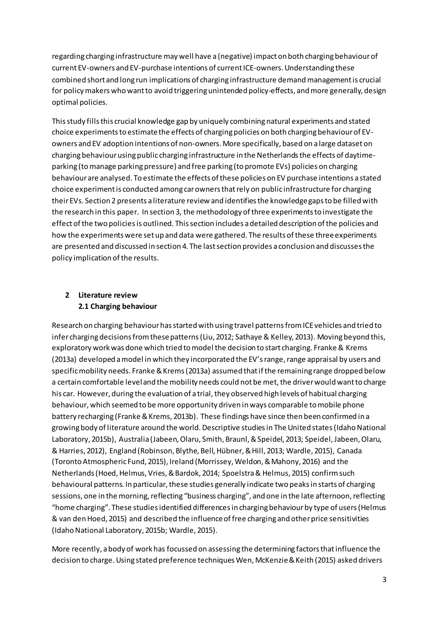regarding charging infrastructure may well have a (negative) impact on both charging behaviour of current EV-owners and EV-purchase intentions of current ICE-owners. Understanding these combined short and long run implications of charging infrastructure demand managementis crucial for policy makers who want to avoid triggering unintended policy-effects, and more generally, design optimal policies.

This study fills this crucial knowledge gap by uniquely combining natural experiments and stated choice experiments to estimate the effects of charging policies on both charging behaviour of EVowners and EV adoption intentions of non-owners. More specifically, based on a large dataset on charging behaviour using public charging infrastructure in the Netherlands the effects of daytimeparking (to manage parking pressure) and free parking (to promote EVs) policies on charging behaviourare analysed. To estimate the effects of these policies on EV purchase intentions a stated choice experiment is conducted among car owners that rely on public infrastructure for charging their EVs. Section 2 presents a literature review and identifies the knowledge gaps to be filled with the research in this paper. In section 3, the methodology of three experiments to investigate the effect of the two policies is outlined. This section includes a detailed description of the policies and how the experiments were set up and data were gathered. The results of these three experiments are presented and discussed in section 4. The last section provides a conclusion and discusses the policy implication of the results.

#### **2 Literature review 2.1 Charging behaviour**

Research on charging behaviourhas started with using travel patterns from ICE vehicles and tried to infer charging decisions from these patterns (Liu, 2012; Sathaye & Kelley, 2013). Moving beyond this, exploratory work was done which tried to model the decision to start charging. Franke & Krems (2013a) developed a model in which they incorporated the EV's range, range appraisal by users and specific mobility needs. Franke & Krems (2013a) assumed that if the remaining range dropped below a certain comfortable leveland the mobility needs could not be met, the driver would want to charge his car. However, during the evaluation of a trial, they observed high levels of habitual charging behaviour, which seemed to be more opportunity driven in ways comparable tomobile phone battery recharging (Franke & Krems, 2013b). These findings have since then been confirmed in a growing body of literature around the world. Descriptive studies in The United states(Idaho National Laboratory, 2015b), Australia (Jabeen, Olaru, Smith, Braunl, & Speidel, 2013; Speidel, Jabeen, Olaru, & Harries, 2012), England (Robinson, Blythe, Bell, Hübner, & Hill, 2013; Wardle, 2015), Canada (Toronto Atmospheric Fund, 2015), Ireland (Morrissey, Weldon, & Mahony, 2016) and the Netherlands (Hoed, Helmus, Vries, & Bardok, 2014; Spoelstra & Helmus, 2015) confirm such behavioural patterns. In particular, these studies generally indicate two peaksin starts of charging sessions, one in the morning, reflecting "business charging", and one in the late afternoon, reflecting "home charging". These studies identified differences in chargingbehaviourby type of users (Helmus & van den Hoed, 2015) and described the influence of free charging and other price sensitivities (Idaho National Laboratory, 2015b; Wardle, 2015).

More recently, a body of work has focussed on assessing the determining factors that influence the decision to charge. Using stated preference techniques Wen, McKenzie & Keith (2015) asked drivers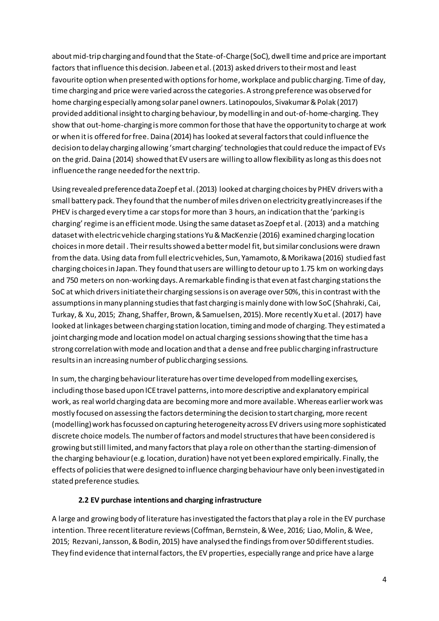about mid-trip charging and found that the State-of-Charge(SoC), dwell time and price are important factors that influence this decision. Jabeen et al. (2013) asked drivers to their most and least favourite option when presented with options for home, workplace and public charging. Time of day, time charging and price were varied across the categories. A strong preference was observed for home charging especially among solar panel owners. Latinopoulos, Sivakumar & Polak (2017) provided additional insight to charging behaviour, by modelling in and out-of-home-charging. They show that out-home-charging is more common for those that have the opportunity to charge at work or when it is offered for free.Daina (2014) has looked at several factors that could influence the decision to delay charging allowing 'smart charging' technologies that could reduce the impact of EVs on the grid. Daina (2014) showed that EV users are willing to allow flexibility as long as this does not influence the range needed for the next trip.

Using revealed preferencedata Zoepf et al. (2013) looked at charging choices by PHEV drivers with a small battery pack. They found that the number of miles driven on electricity greatly increases if the PHEV is charged every time a car stops for more than 3 hours, an indication that the 'parking is charging' regime is an efficient mode. Using the same dataset as Zoepf et al. (2013) and a matching dataset with electric vehicle charging stations Yu & MacKenzie (2016) examined charging location choices in more detail . Theirresults showed a better model fit, but similar conclusions were drawn from the data. Using data from full electric vehicles, Sun, Yamamoto, & Morikawa (2016) studied fast charging choices in Japan. They found that users are willing to detour up to 1.75 km on working days and 750 meters on non-working days. A remarkable finding is that even at fast charging stations the SoC at which drivers initiate their charging sessions is on average over 50%, this in contrast with the assumptions in many planning studies that fast charging is mainly done with low SoC (Shahraki, Cai, Turkay, & Xu, 2015; Zhang, Shaffer, Brown, & Samuelsen, 2015). More recently Xu et al. (2017) have looked at linkages between charging station location, timing and mode of charging. They estimated a joint charging mode and location model on actual charging sessions showing that the time has a strong correlation with mode and location and that a dense and free public charging infrastructure results in an increasing number of public charging sessions.

In sum, the charging behaviour literature has over time developed from modelling exercises, including those based upon ICE travel patterns, into more descriptive and explanatory empirical work, as real world charging data are becoming more and more available. Whereas earlier work was mostly focused on assessing the factors determining the decision to start charging, more recent (modelling) work has focussed on capturing heterogeneity across EV drivers using more sophisticated discrete choice models. The number of factors and model structures that have been considered is growing but still limited, and many factors that play a role on other than the starting-dimension of the charging behaviour (e.g. location, duration) have not yet been explored empirically. Finally, the effects of policies that were designed to influence charging behaviour have only been investigated in stated preference studies.

## **2.2 EV purchase intentions and charging infrastructure**

A large and growing body of literature has investigated the factors that play a role in the EV purchase intention. Three recent literature reviews (Coffman, Bernstein, & Wee, 2016; Liao, Molin, & Wee, 2015; Rezvani, Jansson, & Bodin, 2015) have analysed the findings from over 50 different studies. They find evidence that internal factors, the EV properties, especially range and price have a large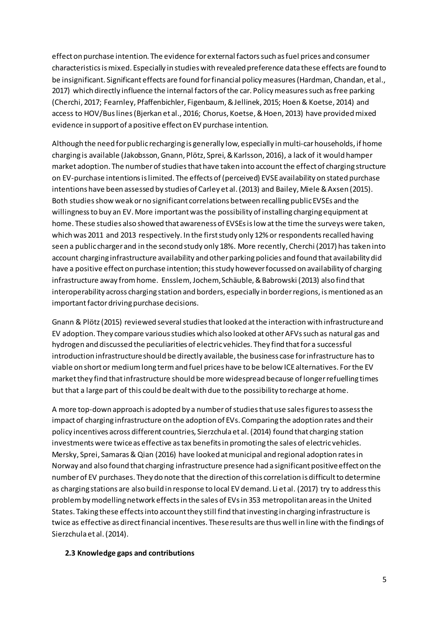effect on purchase intention. The evidence for external factors such as fuel prices and consumer characteristics is mixed. Especially in studies with revealed preference data these effects are found to be insignificant. Significant effects are found for financial policy measures(Hardman, Chandan, et al., 2017) which directly influence the internal factors of the car. Policy measures such as free parking (Cherchi, 2017; Fearnley, Pfaffenbichler, Figenbaum, & Jellinek, 2015; Hoen & Koetse, 2014) and access to HOV/Bus lines (Bjerkan et al., 2016; Chorus, Koetse, & Hoen, 2013) have providedmixed evidence in support of a positive effect on EV purchase intention.

Although the need for public recharging is generally low, especially in multi-car households, if home charging is available (Jakobsson, Gnann, Plötz, Sprei, & Karlsson, 2016), a lack of it would hamper market adoption. The number of studies that have taken into account the effect of charging structure on EV-purchase intentions is limited. The effects of (perceived) EVSEavailability on stated purchase intentions have been assessed by studies of Carley et al. (2013) and Bailey, Miele & Axsen (2015). Both studies show weak or no significant correlations between recalling public EVSEs and the willingness to buy an EV. More important was the possibility of installing charging equipment at home. These studies also showed that awareness of EVSEs is low at the time the surveys were taken, which was 2011 and 2013 respectively. In the first study only 12% or respondents recalled having seen a public charger and in the second study only 18%. More recently, Cherchi (2017) has taken into account charging infrastructure availability and other parking policies and found that availability did have a positive effect on purchase intention; this study however focussed on availability of charging infrastructure away from home. Ensslem, Jochem, Schäuble, & Babrowski (2013) also find that interoperability across charging station and borders, especially in border regions, is mentioned as an important factor driving purchase decisions.

Gnann & Plötz (2015) reviewed several studies that looked at the interaction with infrastructure and EV adoption. They compare various studies which also looked at other AFVs such as natural gas and hydrogen and discussed the peculiarities of electric vehicles. They find that for a successful introduction infrastructure should be directly available, the business case for infrastructure has to viable on short or medium long term and fuel prices have to be below ICE alternatives. For the EV market they find that infrastructure should be more widespread because of longer refuelling times but that a large part of this could be dealt with due to the possibility to recharge at home.

A more top-down approach is adopted by a number of studies that use sales figures to assess the impact of charging infrastructure on the adoption of EVs. Comparing the adoption rates and their policy incentives across different countries, Sierzchula et al. (2014) found that charging station investments were twice as effective as tax benefits in promoting the sales of electric vehicles. Mersky, Sprei, Samaras & Qian (2016) have looked at municipal and regional adoption rates in Norway and also found that charging infrastructure presence had a significant positive effect on the number of EV purchases. They do note that the direction of this correlation is difficult to determine as charging stations are also build in response to local EV demand. Li et al. (2017) try to addressthis problem by modelling network effects in the sales of EVs in 353 metropolitan areas in the United States. Taking these effects into account they still find that investing in charging infrastructure is twice as effective as direct financial incentives. These results are thus well in line with the findings of Sierzchula et al.(2014).

#### **2.3 Knowledge gaps and contributions**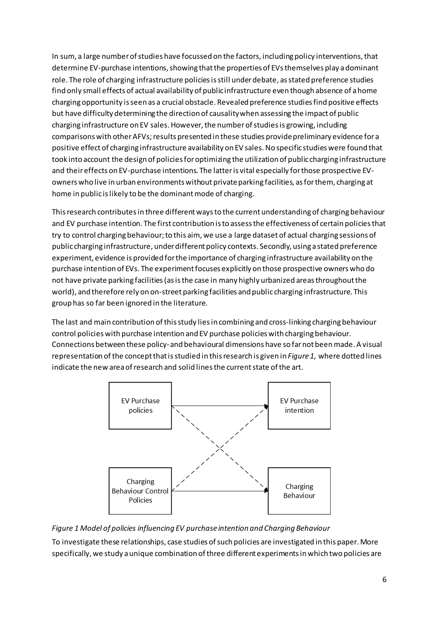In sum, a large number of studies have focussed on the factors, including policy interventions, that determine EV-purchase intentions, showing that the properties of EVs themselves play a dominant role. The role of charging infrastructure policies is still under debate, as stated preference studies find only small effects of actual availability of public infrastructure even though absence of a home charging opportunity is seen as a crucial obstacle. Revealed preference studies find positive effects but have difficulty determining the direction of causality when assessing the impact of public charging infrastructure on EV sales. However, the number of studies is growing, including comparisons with other AFVs; results presented in these studies provide preliminary evidence for a positive effect of charging infrastructure availability on EV sales. No specific studies were found that took into account the design of policies foroptimizing the utilization of public charging infrastructure and their effects on EV-purchase intentions. The latter is vital especially for those prospective EVowners who live in urban environments without private parking facilities, as for them, charging at home in public is likely to be the dominant mode of charging.

This research contributesin three different ways to the current understanding of charging behaviour and EV purchase intention. The first contribution is to assess the effectiveness of certain policies that try to control charging behaviour; to this aim, we use a large dataset of actual charging sessions of public charging infrastructure, under different policy contexts. Secondly, using a stated preference experiment, evidence is provided for the importance of charging infrastructure availability on the purchase intention of EVs. The experiment focuses explicitly on those prospective owners who do not have private parking facilities(as is the case in many highly urbanized areas throughout the world), and therefore rely on on-street parking facilities and public charging infrastructure. This group has so far been ignored in the literature.

The last and main contribution of this study lies in combining and cross-linking charging behaviour control policies with purchase intention and EV purchase policies with charging behaviour. Connections between these policy-and behavioural dimensions have so far not been made. A visual representation of the concept that isstudied in this research is given in *Figure 1*, where dotted lines indicate the new area of research and solid lines the current state of the art.



*Figure 1 Model of policies influencing EV purchase intention and Charging Behaviour*

To investigate these relationships, case studies of such policies are investigated in this paper. More specifically, we study a unique combination of three different experiments in which two policies are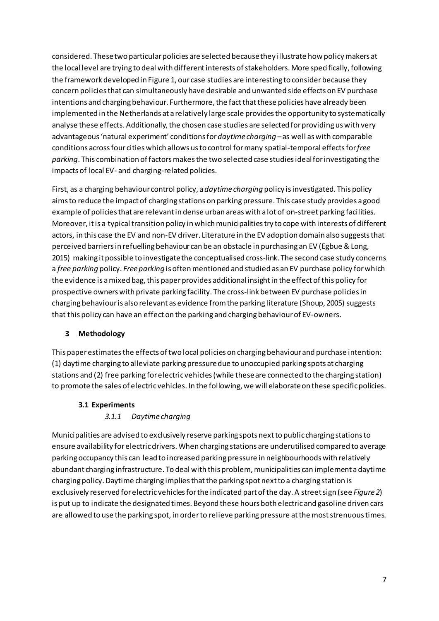considered. These two particular policies are selected because they illustrate how policy makers at the local level are trying to deal with different interests of stakeholders. More specifically, following the framework developed in Figure 1, our case studies are interesting to consider because they concern policies that can simultaneously have desirable and unwanted side effects on EV purchase intentions and charging behaviour. Furthermore, the fact that these policies have already been implemented in the Netherlands at a relatively large scale provides the opportunity to systematically analyse these effects. Additionally, the chosen case studies are selected for providing us with very advantageous 'natural experiment' conditions for *daytime charging* –as well as with comparable conditions across four cities which allows us to control for many spatial-temporal effects for *free parking*. This combination of factors makes the two selected case studies ideal for investigating the impacts of local EV- and charging-related policies.

First, as a charging behaviour control policy, a*daytime charging* policy is investigated. This policy aims to reduce the impact of charging stations on parking pressure. This case study provides a good example of policies that are relevant in dense urban areas with a lot of on-street parking facilities. Moreover, it is a typical transition policy in which municipalities try to cope with interests of different actors, in this case the EV and non-EV driver. Literature in the EV adoption domain also suggests that perceived barriers in refuelling behaviour can be an obstacle in purchasing an EV (Egbue & Long, 2015) making it possible to investigate the conceptualised cross-link. The second case study concerns a *free parking* policy. *Free parking* is often mentioned and studied as an EV purchase policy for which the evidence is a mixed bag, this paper provides additional insight in the effect of this policy for prospective owners with private parking facility. The cross-link between EV purchase policies in charging behaviour is also relevant as evidence from the parking literature (Shoup, 2005) suggests that this policy can have an effect on the parking and charging behaviour of EV-owners.

## **3 Methodology**

This paper estimates the effects of two local policies on charging behaviour and purchase intention: (1) daytime charging to alleviate parking pressure due to unoccupied parking spots at charging stations and (2) free parking for electric vehicles (while these are connected to the charging station) to promote the sales of electric vehicles. In the following, we will elaborate on these specific policies.

# **3.1 Experiments**

# *3.1.1 Daytime charging*

Municipalities are advised to exclusively reserve parking spots next to public charging stations to ensure availability for electric drivers. When charging stations are underutilised compared to average parking occupancy this can lead to increased parking pressure in neighbourhoods with relatively abundant charging infrastructure. To deal with this problem, municipalities can implement a daytime charging policy. Daytime charging implies that the parking spot next to a charging station is exclusively reserved for electric vehicles for the indicated part of the day. A street sign (see *Figure 2*) is put up to indicate the designated times. Beyond these hours both electric and gasoline driven cars are allowed to use the parking spot, in order to relieve parking pressure at the most strenuous times.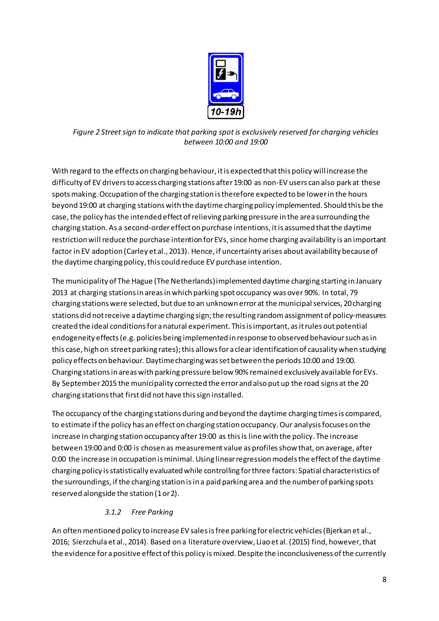

*Figure 2 Street sign to indicate that parking spot is exclusively reserved for charging vehicles between 10:00 and 19:00*

With regard to the effects on charging behaviour, it is expected that this policy will increase the difficulty of EV drivers to access charging stations after 19:00 as non-EV users can also park at these spots making. Occupation of the charging station is therefore expected to be lower in the hours beyond 19:00 at charging stations with the daytime charging policy implemented. Should this be the case, the policy has the intended effect of relieving parking pressure in the area surrounding the charging station. As a second-order effect on purchase intentions, it is assumed that the daytime restriction will reduce the purchase intention for EVs, since home charging availability is an important factor in EV adoption (Carley et al., 2013). Hence, if uncertainty arises about availability because of the daytime charging policy, this could reduce EV purchase intention.

The municipality of The Hague (The Netherlands) implemented daytime charging starting in January 2013 at charging stations in areas in which parking spotoccupancy was over 90%. In total, 79 charging stations were selected, but due to an unknown error at the municipal services, 20 charging stations did not receive a daytime charging sign; the resulting random assignment of policy-measures created the ideal conditions for a natural experiment. This is important, as it rules out potential endogeneity effects (e.g. policies being implemented in response to observed behaviour such as in this case, high on street parking rates); this allows for a clear identification of causality when studying policy effects on behaviour. Daytime charging was set between the periods 10:00 and 19:00. Charging stations in areas with parking pressure below 90% remained exclusively available for EVs. By September 2015 the municipality corrected the error and also put up the road signs at the 20 charging stations that first did not have this sign installed.

The occupancy of the charging stations during and beyond the daytime charging times is compared, to estimate if the policy has an effect on charging station occupancy. Our analysis focuses on the increase in charging station occupancy after 19:00 as this is line with the policy. The increase between 19:00 and 0:00 is chosen as measurement value as profiles show that, on average, after 0:00 the increase in occupation is minimal. Using linear regression modelsthe effect of the daytime charging policy is statistically evaluated while controlling for three factors: Spatial characteristics of the surroundings, if the charging station is in a paid parking area and the number of parking spots reserved alongside the station (1 or 2).

## *3.1.2 Free Parking*

An often mentioned policy to increase EV sales is free parking for electric vehicles (Bjerkan et al., 2016; Sierzchula et al., 2014). Based on a literature overview, Liao et al. (2015) find, however, that the evidence for a positive effect of this policy is mixed. Despite the inconclusiveness of the currently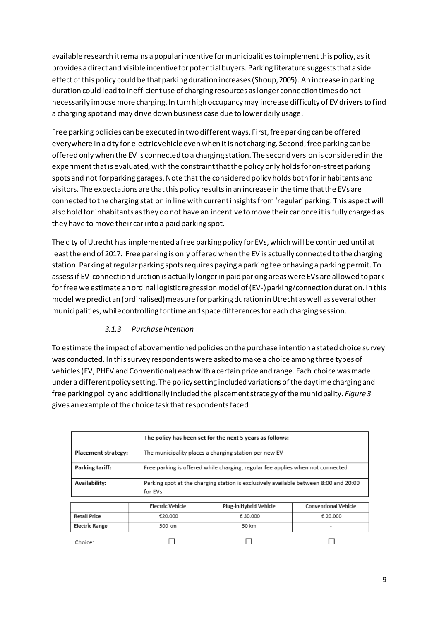available research it remains a popular incentive for municipalities to implement this policy, as it provides a direct and visible incentive for potential buyers. Parking literature suggests that a side effect of this policy could be that parking duration increases (Shoup, 2005). An increase in parking duration could lead to inefficient use of charging resources as longer connection times do not necessarily impose more charging. In turn high occupancy may increase difficulty of EV drivers to find a charging spot and may drive down business case due to lower daily usage.

Free parking policies can be executed in two different ways. First, free parking can be offered everywhere in a city for electric vehicle even when it is not charging. Second, free parking can be offered only when the EV is connected to a charging station. The second version is considered in the experiment that is evaluated, with the constraint that the policy only holds for on-street parking spots and not for parking garages. Note that the considered policy holds both for inhabitants and visitors. The expectations are that this policy results in an increase in the time that the EVs are connected to the charging station in line with current insights from 'regular' parking. This aspect will also hold for inhabitants as they do not have an incentive to move their car once it is fully charged as they have to move their car into a paid parking spot.

The city of Utrecht has implemented a free parking policy for EVs, which will be continued until at least the end of 2017. Free parking is only offered when the EV is actually connected to the charging station. Parking at regular parking spots requires paying a parking fee or having a parking permit. To assess if EV-connection duration is actually longerin paid parking areas were EVs are allowed to park for free we estimate an ordinal logistic regression model of (EV-) parking/connection duration. In this model we predict an (ordinalised) measure for parking duration in Utrecht as well as several other municipalities, while controlling for time and space differences for each charging session.

## *3.1.3 Purchase intention*

To estimate the impact of abovementioned policies on the purchase intention a stated choice survey was conducted. In this survey respondents were asked to make a choice among three types of vehicles (EV, PHEV and Conventional) each with a certain price and range. Each choice was made under a different policy setting. The policy setting included variations of the daytime charging and free parking policy and additionally included the placement strategy of the municipality. *Figure 3* gives an example of the choice task that respondents faced.

|                            | The policy has been set for the next 5 years as follows: |                                                                                      |                             |  |  |  |  |
|----------------------------|----------------------------------------------------------|--------------------------------------------------------------------------------------|-----------------------------|--|--|--|--|
| <b>Placement strategy:</b> | The municipality places a charging station per new EV    |                                                                                      |                             |  |  |  |  |
| Parking tariff:            |                                                          | Free parking is offered while charging, regular fee applies when not connected       |                             |  |  |  |  |
| Availability:              | for EVs                                                  | Parking spot at the charging station is exclusively available between 8:00 and 20:00 |                             |  |  |  |  |
|                            | <b>Electric Vehicle</b>                                  | Plug-in Hybrid Vehicle                                                               | <b>Conventional Vehicle</b> |  |  |  |  |
| <b>Retail Price</b>        | €20.000                                                  | € 30.000                                                                             | € 20.000                    |  |  |  |  |
| <b>Electric Range</b>      | 500 km                                                   | 50 km                                                                                |                             |  |  |  |  |
| Choice:                    |                                                          |                                                                                      |                             |  |  |  |  |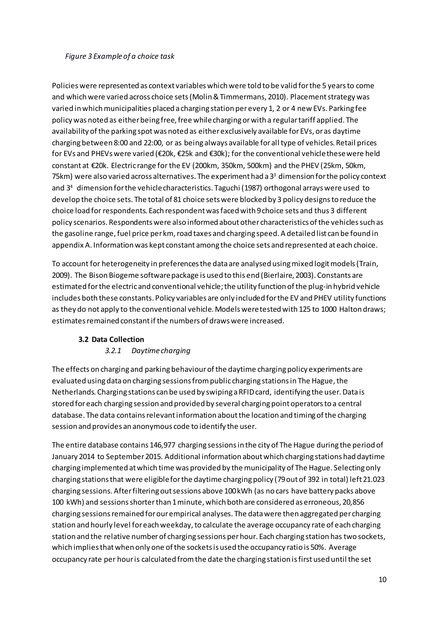#### *Figure 3 Example of a choice task*

Policies were represented as context variables which were told to be valid for the 5 years to come and which were varied across choice sets (Molin & Timmermans, 2010). Placement strategy was varied in which municipalities placed a charging station per every 1, 2 or 4 new EVs. Parking fee policy was noted as either being free, free while charging or with a regular tariff applied. The availability of the parking spot was noted as either exclusively available for EVs, or as daytime charging between 8:00 and 22:00, or as being always available for all type of vehicles. Retail prices for EVs and PHEVs were varied (€20k, €25k and €30k); for the conventional vehicle these were held constant at €20k. Electric range for the EV (200km, 350km, 500km) and the PHEV (25km, 50km, 75km) were also varied across alternatives. The experiment had a  $3<sup>3</sup>$  dimension for the policy context and 34 dimension for the vehicle characteristics. Taguchi (1987) orthogonal arrays were used to develop the choice sets. The total of 81 choice sets were blocked by 3 policy designs to reduce the choice load for respondents. Each respondent was faced with 9 choice sets and thus 3 different policy scenarios. Respondents were also informed about other characteristics of the vehicles such as the gasoline range, fuel price per km, road taxes and charging speed. A detailed list can be found in appendix A. Information was kept constant among the choice sets and represented at each choice.

To account for heterogeneity in preferences the data are analysed using mixed logit models (Train, 2009). The Bison Biogeme software package is used to this end (Bierlaire, 2003). Constants are estimated for the electric and conventional vehicle; the utility function of the plug-in hybrid vehicle includes both these constants. Policy variables are only included for the EV and PHEV utility functions as they do not apply to the conventional vehicle. Models were tested with 125 to 1000 Halton draws; estimates remained constant if the numbers of draws were increased.

#### **3.2 Data Collection**

## *3.2.1 Daytime charging*

The effects on charging and parking behaviour of the daytime charging policy experiments are evaluated using data on charging sessions from public charging stations in The Hague, the Netherlands. Charging stations can be used by swiping a RFID card, identifying the user. Data is stored for each charging session and provided by several charging point operators to a central database. The data contains relevant information about the location and timing of the charging session and provides an anonymous code to identify the user.

The entire database contains 146,977 charging sessions in the city of The Hague during the period of January 2014 to September 2015. Additional information about which charging stations had daytime charging implemented at which time was provided by the municipality of The Hague. Selecting only charging stations that were eligible for the daytime charging policy (79 out of 392 in total) left 21.023 charging sessions. After filtering out sessions above 100 kWh (as no cars have battery packs above 100 kWh) and sessions shorter than 1 minute, which both are considered as erroneous, 20,856 charging sessions remained for our empirical analyses. The data were then aggregated per charging station and hourly level for each weekday, to calculate the average occupancy rate of each charging station and the relative number of charging sessions per hour. Each charging station has two sockets, which implies that when only one of the sockets is used the occupancy ratio is 50%. Average occupancy rate per hour is calculated from the date the charging station is first used until the set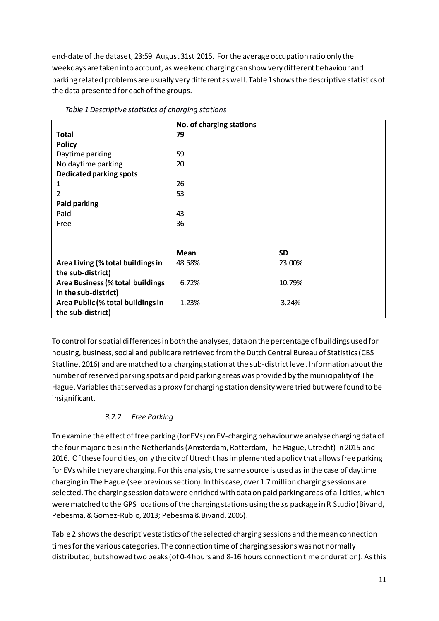end-date of the dataset, 23:59 August 31st 2015. For the average occupation ratio only the weekdays are taken into account, as weekend charging can show very different behaviour and parking related problems are usually very different as well. Table 1 shows the descriptive statistics of the data presented for each of the groups.

|                                         | No. of charging stations |           |
|-----------------------------------------|--------------------------|-----------|
| <b>Total</b>                            | 79                       |           |
| <b>Policy</b>                           |                          |           |
| Daytime parking                         | 59                       |           |
| No daytime parking                      | 20                       |           |
| <b>Dedicated parking spots</b>          |                          |           |
| 1                                       | 26                       |           |
| 2                                       | 53                       |           |
| <b>Paid parking</b>                     |                          |           |
| Paid                                    | 43                       |           |
| Free                                    | 36                       |           |
|                                         |                          |           |
|                                         |                          |           |
|                                         | Mean                     | <b>SD</b> |
| Area Living (% total buildings in       | 48.58%                   | 23.00%    |
| the sub-district)                       |                          |           |
| <b>Area Business (% total buildings</b> | 6.72%                    | 10.79%    |
| in the sub-district)                    |                          |           |
| Area Public (% total buildings in       | 1.23%                    | 3.24%     |
| the sub-district)                       |                          |           |

*Table 1 Descriptive statistics of charging stations*

To control for spatial differences in both the analyses, data on the percentage of buildings used for housing, business, social and public are retrieved from the Dutch Central Bureau of Statistics (CBS Statline, 2016) and are matched to a charging station at the sub-district level. Information about the number of reserved parking spots and paid parking areas was provided by the municipality of The Hague. Variables that served as a proxy for charging station density were tried but were found to be insignificant.

# *3.2.2 Free Parking*

To examine the effect of free parking (for EVs) on EV-charging behaviour we analyse charging data of the four major cities in the Netherlands (Amsterdam, Rotterdam, The Hague, Utrecht) in 2015 and 2016. Of these four cities, only the city of Utrecht has implemented a policy that allows free parking for EVs while they are charging. For this analysis, the same source is used as in the case of daytime charging in The Hague (see previous section). In this case, over 1.7 million charging sessions are selected. The charging session data were enriched with data on paid parking areas of all cities, which were matched to the GPS locations of the charging stations using the *sp* package in R Studio (Bivand, Pebesma, & Gomez-Rubio, 2013; Pebesma & Bivand, 2005).

Table 2 shows the descriptive statistics of the selected charging sessions and the mean connection times for the various categories. The connection time of charging sessions was not normally distributed, but showed two peaks (of 0-4 hours and 8-16 hours connection time or duration). As this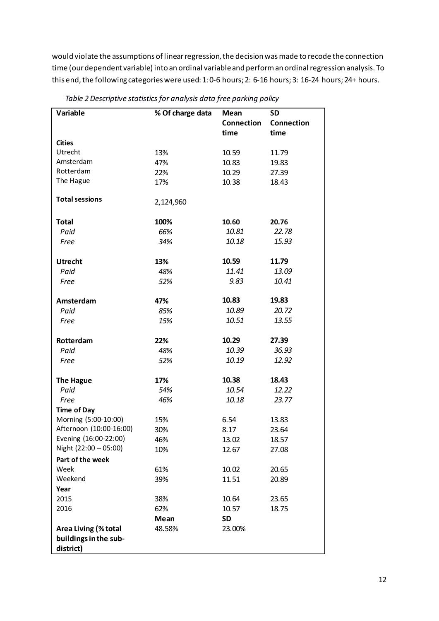would violate the assumptions of linear regression, the decision was made to recode the connection time (our dependent variable) into an ordinal variable and perform an ordinal regression analysis. To this end, the following categories were used: 1: 0-6 hours; 2: 6-16 hours; 3: 16-24 hours; 24+ hours.

| Variable                           | % Of charge data | Mean                | <b>SD</b>  |
|------------------------------------|------------------|---------------------|------------|
|                                    |                  | <b>Connection</b>   | Connection |
|                                    |                  | time                | time       |
| <b>Cities</b>                      |                  |                     |            |
| Utrecht                            | 13%              | 10.59               | 11.79      |
| Amsterdam                          | 47%              | 10.83               | 19.83      |
| Rotterdam                          | 22%              | 10.29               | 27.39      |
| The Hague                          | 17%              | 10.38               | 18.43      |
| <b>Total sessions</b>              | 2,124,960        |                     |            |
|                                    |                  |                     |            |
| <b>Total</b>                       | 100%             | 10.60               | 20.76      |
| Paid                               | 66%              | 10.81               | 22.78      |
| Free                               | 34%              | 10.18               | 15.93      |
| <b>Utrecht</b>                     | 13%              | 10.59               | 11.79      |
| Paid                               | 48%              | 11.41               | 13.09      |
| Free                               | 52%              | 9.83                | 10.41      |
|                                    |                  |                     |            |
| Amsterdam                          | 47%              | 10.83               | 19.83      |
| Paid                               | 85%              | 10.89               | 20.72      |
| Free                               | 15%              | 10.51               | 13.55      |
| Rotterdam                          | 22%              | 10.29               | 27.39      |
| Paid                               | 48%              | 10.39               | 36.93      |
| Free                               | 52%              | 10.19               | 12.92      |
|                                    |                  |                     |            |
| <b>The Hague</b>                   | 17%              | 10.38               | 18.43      |
| Paid                               | 54%              | 10.54               | 12.22      |
| Free                               | 46%              | 10.18               | 23.77      |
| <b>Time of Day</b>                 |                  |                     |            |
| Morning (5:00-10:00)               | 15%              | 6.54                | 13.83      |
| Afternoon (10:00-16:00)            | 30%              | 8.17                | 23.64      |
| Evening (16:00-22:00)              | 46%              | 13.02               | 18.57      |
| Night (22:00 - 05:00)              | 10%              | 12.67               | 27.08      |
| Part of the week                   |                  |                     |            |
| Week                               | 61%              | 10.02               | 20.65      |
| Weekend                            | 39%              | 11.51               | 20.89      |
| Year                               |                  |                     |            |
| 2015                               | 38%              | 10.64               | 23.65      |
| 2016                               | 62%              | 10.57               | 18.75      |
|                                    | Mean             | <b>SD</b><br>23.00% |            |
| Area Living (% total               | 48.58%           |                     |            |
| buildings in the sub-<br>district) |                  |                     |            |
|                                    |                  |                     |            |

*Table 2 Descriptive statistics for analysis data free parking policy*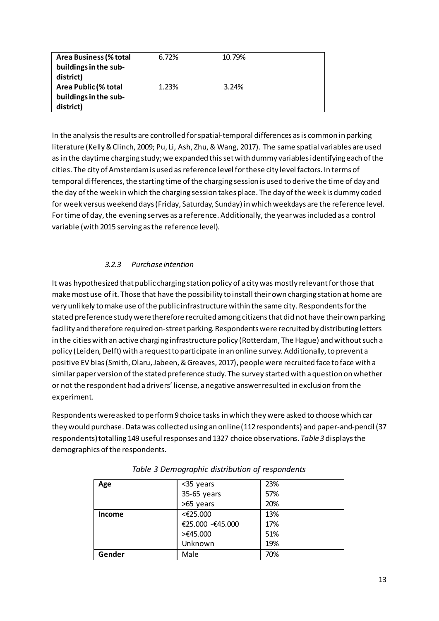| Area Business (% total<br>buildings in the sub-<br>district) | 6.72% | 10.79% |  |
|--------------------------------------------------------------|-------|--------|--|
| Area Public (% total<br>buildings in the sub-<br>district)   | 1.23% | 3.24%  |  |

In the analysis the results are controlled for spatial-temporal differences as is common in parking literature (Kelly & Clinch, 2009; Pu, Li, Ash, Zhu, & Wang, 2017). The same spatial variables are used as in the daytime charging study; we expanded this set with dummy variables identifying each of the cities. The city of Amsterdam is used as reference level for these city level factors. In terms of temporal differences, the starting time of the charging session is used to derive the time of day and the day of the week in which the charging session takes place. The day of the week is dummy coded for week versus weekend days (Friday, Saturday, Sunday) in which weekdays are the reference level. For time of day, the evening serves as a reference. Additionally, the year was included as a control variable (with 2015 serving as the reference level).

## *3.2.3 Purchase intention*

It was hypothesized that public charging station policy of a city was mostly relevant for those that make most use of it. Those that have the possibility to install their own charging station at home are very unlikely to make use of the public infrastructure within the same city. Respondents for the stated preference study were therefore recruited among citizens that did not have their own parking facility and therefore required on-street parking. Respondents were recruited by distributing letters in the cities with an active charging infrastructure policy (Rotterdam, The Hague) and without such a policy (Leiden, Delft) with a request to participate in an online survey. Additionally, to prevent a positive EV bias (Smith, Olaru, Jabeen, & Greaves, 2017), people were recruited face to face with a similar paper version of the stated preference study. The survey started with a question on whether or not the respondent had a drivers' license, a negative answer resulted in exclusion from the experiment.

Respondents were asked to perform 9 choice tasks in which they were asked to choose which car they would purchase. Data was collected using an online (112 respondents) and paper-and-pencil (37 respondents) totalling 149 useful responses and 1327 choice observations. *Table 3* displays the demographics of the respondents.

| Age    | <35 years        | 23% |
|--------|------------------|-----|
|        | 35-65 years      | 57% |
|        | >65 years        | 20% |
| Income | <€25.000         | 13% |
|        | €25.000 -€45.000 | 17% |
|        | ≥£45.000         | 51% |
|        | Unknown          | 19% |
| Gender | Male             | 70% |

| Table 3 Demographic distribution of respondents |  |  |
|-------------------------------------------------|--|--|
|-------------------------------------------------|--|--|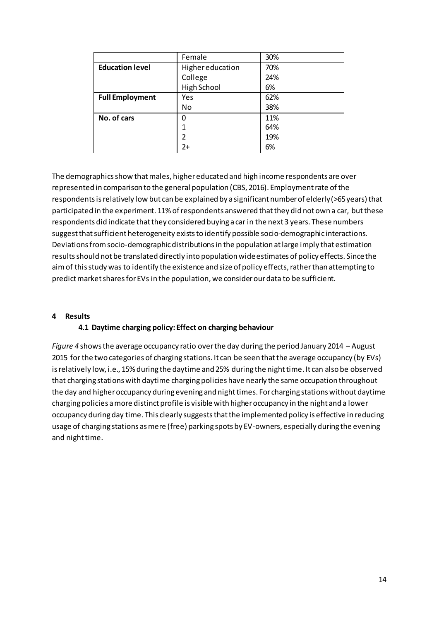|                        | Female          | 30% |
|------------------------|-----------------|-----|
| <b>Education level</b> | Highereducation | 70% |
|                        | College         | 24% |
|                        | High School     | 6%  |
| <b>Full Employment</b> | Yes             | 62% |
|                        | No              | 38% |
| No. of cars            | 0               | 11% |
|                        | 1               | 64% |
|                        | $\overline{2}$  | 19% |
|                        | $2+$            | 6%  |

The demographics show that males, higher educated and high income respondents are over represented in comparison to the general population (CBS, 2016). Employment rate of the respondents is relatively low but can be explained by a significant number of elderly (>65 years) that participated in the experiment. 11% of respondents answered that they did not own a car, but these respondents did indicate that they considered buying a car in the next 3 years. These numbers suggest that sufficient heterogeneity exists to identify possible socio-demographic interactions. Deviations from socio-demographic distributions in the population at large imply that estimation results should not be translated directly into population wide estimates of policy effects. Since the aim of this study was to identify the existence and size of policy effects, rather than attempting to predict market shares for EVs in the population, we consider our data to be sufficient.

#### **4 Results**

#### **4.1 Daytime charging policy: Effect on charging behaviour**

*Figure 4* showsthe average occupancy ratio over the day during the period January 2014 – August 2015 for the two categories of charging stations. It can be seen that the average occupancy (by EVs) is relatively low, i.e., 15% during the daytime and 25% during the night time. It can also be observed that charging stations with daytime charging policies have nearly the same occupation throughout the day and higher occupancy during evening and night times. For charging stations without daytime charging policies a more distinct profile is visible with higher occupancy in the night and a lower occupancy during day time. This clearly suggests that the implemented policy is effective in reducing usage of charging stations as mere (free) parking spots by EV-owners, especially during the evening and night time.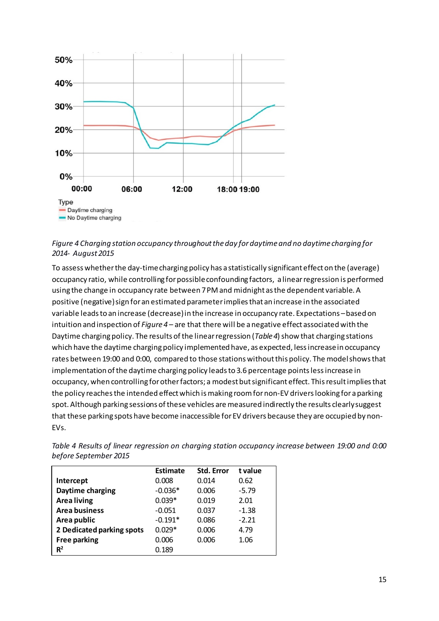

## *Figure 4 Charging station occupancy throughout the day for daytime and no daytime charging for 2014- August 2015*

To assess whether the day-time charging policy has a statistically significant effect on the (average) occupancy ratio, while controlling for possible confounding factors, a linear regression is performed using the change in occupancy rate between 7 PM and midnight as the dependent variable. A positive (negative) sign for an estimated parameter implies that an increase in the associated variable leads to an increase (decrease) in the increase in occupancy rate. Expectations –based on intuition and inspection of *Figure 4* – are that there will be a negative effect associated with the Daytime charging policy. The results of the linear regression (*Table 4*) show that charging stations which have the daytime charging policy implemented have, as expected, less increase in occupancy rates between 19:00 and 0:00, compared to those stations without this policy. The model shows that implementation of the daytime charging policy leads to 3.6 percentage points less increase in occupancy, when controlling for other factors; a modest but significant effect. This result implies that the policy reaches the intended effect which is making room fornon-EV drivers looking for a parking spot. Although parking sessions of these vehicles are measured indirectly the results clearly suggest that these parking spots have become inaccessible for EV drivers because they are occupied by non-EVs.

|                       | Table 4 Results of linear regression on charging station occupancy increase between 19:00 and 0:00 |  |  |  |
|-----------------------|----------------------------------------------------------------------------------------------------|--|--|--|
| before September 2015 |                                                                                                    |  |  |  |

| <b>Estimate</b> | <b>Std. Error</b> | t value |  |
|-----------------|-------------------|---------|--|
| 0.008           | 0.014             | 0.62    |  |
| $-0.036*$       | 0.006             | $-5.79$ |  |
| $0.039*$        | 0.019             | 2.01    |  |
| $-0.051$        | 0.037             | $-1.38$ |  |
| $-0.191*$       | 0.086             | $-2.21$ |  |
| $0.029*$        | 0.006             | 4.79    |  |
| 0.006           | 0.006             | 1.06    |  |
| 0.189           |                   |         |  |
|                 |                   |         |  |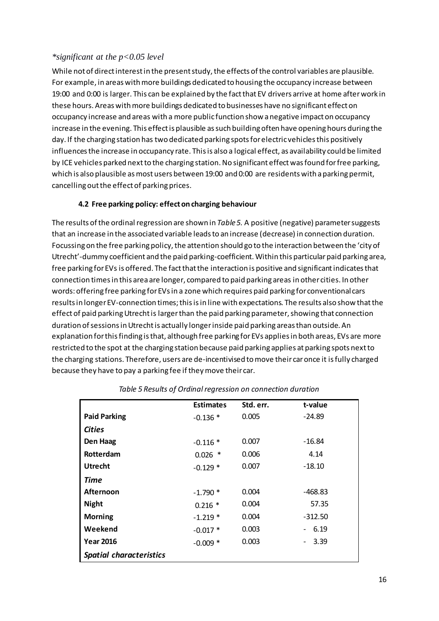## *\*significant at the p<0.05 level*

While not of direct interest in the present study, the effects of the control variables are plausible. For example, in areas with more buildings dedicated to housing the occupancy increase between 19:00 and 0:00 is larger. This can be explained by the fact that EV drivers arrive at home after work in these hours. Areas with more buildings dedicated to businesses have no significant effect on occupancy increase and areas with a more public function show a negative impact on occupancy increase in the evening. This effect is plausible as such building often have opening hours during the day. If the charging station has two dedicated parking spots for electric vehicles this positively influences the increase in occupancy rate. This is also a logical effect, as availability could be limited by ICE vehicles parked next to the charging station. No significant effect was found for free parking, which is also plausible as most users between 19:00 and 0:00 are residents with a parking permit, cancelling out the effect of parking prices.

## **4.2 Free parking policy: effect on charging behaviour**

The results of the ordinal regression are shown in *Table 5*. A positive (negative) parameter suggests that an increase in the associated variable leads to an increase (decrease) in connection duration. Focussing on the free parking policy, the attention should go to the interaction between the 'city of Utrecht'-dummy coefficient and the paid parking-coefficient. Within this particular paid parking area, free parking for EVs is offered. The fact that the interaction is positive and significant indicates that connection times in this area are longer, compared to paid parking areas in other cities. In other words: offering free parking for EVs in a zone which requires paid parking for conventional cars results in longer EV-connection times; this is in line with expectations. The results also show that the effect of paid parking Utrecht is larger than the paid parking parameter, showing that connection duration of sessions in Utrecht is actually longer inside paid parking areas than outside. An explanation for this finding isthat, although free parking for EVs applies in both areas, EVs are more restricted to the spot at the charging station because paid parking applies at parking spots next to the charging stations. Therefore, users are de-incentivised to move their car once it is fully charged because they have to pay a parking fee if they move their car.

|                                | <b>Estimates</b> | Std. err. | t-value   |
|--------------------------------|------------------|-----------|-----------|
| <b>Paid Parking</b>            | $-0.136*$        | 0.005     | $-24.89$  |
| <b>Cities</b>                  |                  |           |           |
| Den Haag                       | $-0.116*$        | 0.007     | $-16.84$  |
| Rotterdam                      | $0.026$ *        | 0.006     | 4.14      |
| <b>Utrecht</b>                 | $-0.129*$        | 0.007     | $-18.10$  |
| Time                           |                  |           |           |
| <b>Afternoon</b>               | $-1.790*$        | 0.004     | -468.83   |
| <b>Night</b>                   | $0.216*$         | 0.004     | 57.35     |
| <b>Morning</b>                 | $-1.219*$        | 0.004     | $-312.50$ |
| Weekend                        | $-0.017*$        | 0.003     | 6.19      |
| <b>Year 2016</b>               | $-0.009*$        | 0.003     | 3.39      |
| <b>Spatial characteristics</b> |                  |           |           |

*Table 5 Results of Ordinal regression on connection duration*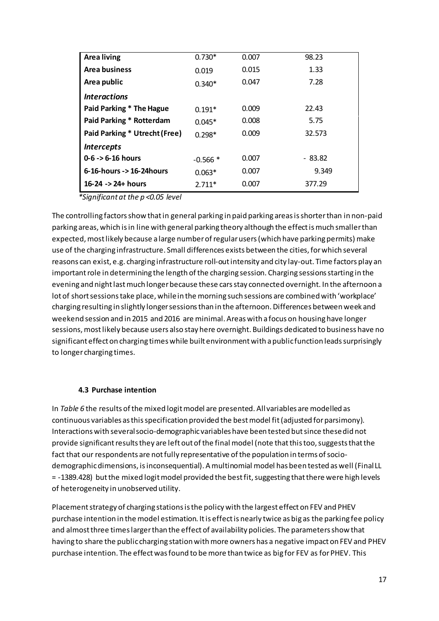| <b>Arealiving</b>                 | $0.730*$  | 0.007 | 98.23   |
|-----------------------------------|-----------|-------|---------|
| <b>Area business</b>              | 0.019     | 0.015 | 1.33    |
| Area public                       | $0.340*$  | 0.047 | 7.28    |
| <i><u><b>Interactions</b></u></i> |           |       |         |
| Paid Parking * The Hague          | $0.191*$  | 0.009 | 22.43   |
| Paid Parking * Rotterdam          | $0.045*$  | 0.008 | 5.75    |
| Paid Parking * Utrecht (Free)     | $0.298*$  | 0.009 | 32.573  |
| <b>Intercepts</b>                 |           |       |         |
| $0 - 6 - 5 - 16$ hours            | $-0.566*$ | 0.007 | - 83.82 |
| $6-16$ -hours -> 16-24 hours      | $0.063*$  | 0.007 | 9.349   |
| $16-24 \rightarrow 24+ hours$     | $2.711*$  | 0.007 | 377.29  |

*\*Significant at the p <0.05 level*

The controlling factors show that in general parking in paid parking areas is shorter than in non-paid parking areas, which is in line with general parking theory although the effect is much smaller than expected, most likely because a large number of regular users (which have parking permits) make use of the charging infrastructure. Small differences exists between the cities, for which several reasons can exist, e.g. charging infrastructure roll-out intensity and city lay-out. Time factors play an important role in determining the length of the charging session. Charging sessions starting in the evening and night last much longer because these cars stay connected overnight. In the afternoon a lot of short sessions take place, while in the morning such sessions are combined with 'workplace' charging resulting in slightly longer sessions than in the afternoon. Differences between week and weekend session and in 2015 and 2016 are minimal. Areas with a focus on housing have longer sessions, most likely because users also stay here overnight. Buildings dedicated to business have no significant effect on charging times while built environment with a public function leads surprisingly to longer charging times.

#### **4.3 Purchase intention**

In *Table 6* the results of the mixed logit model are presented. All variables are modelled as continuous variables as this specification provided the best model fit(adjusted for parsimony). Interactionswith several socio-demographicvariables have been tested butsince thesedid not provide significant results they are left out of the final model (note that this too, suggests that the fact that our respondents are not fully representative of the population in terms of sociodemographic dimensions, is inconsequential). A multinomial model has been tested as well (Final LL = -1389.428) but the mixed logit model provided the best fit, suggesting that there were high levels of heterogeneity in unobserved utility.

Placement strategy of charging stations is the policy with the largest effect on FEV and PHEV purchase intention in the model estimation. It is effect is nearly twice as big as the parking fee policy and almost three times larger than the effect of availability policies. The parameters show that having to share the public charging station with more owners has a negative impact on FEV and PHEV purchase intention. The effect was found to be more than twice as big for FEV as for PHEV. This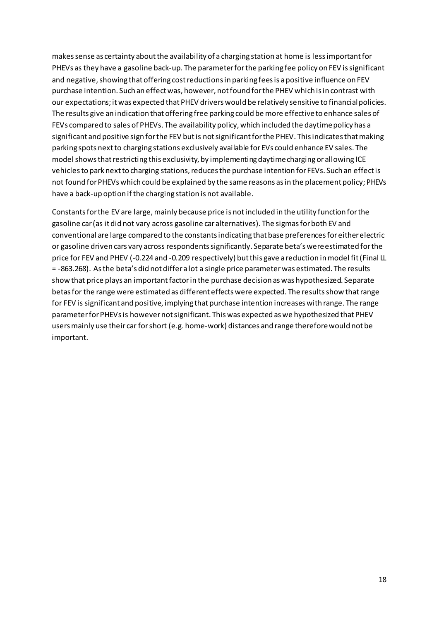makes sense as certainty about the availability of a charging station at home is less important for PHEVs as they have a gasoline back-up. The parameter for the parking fee policy on FEV is significant and negative, showing that offering cost reductions in parking fees is a positive influence on FEV purchase intention. Such an effect was, however, not found for the PHEV which is in contrast with our expectations; it was expected that PHEV drivers would be relatively sensitive to financial policies. The results give an indication that offering free parking could be more effective to enhance sales of FEVs compared to sales of PHEVs. The availability policy, which included the daytime policy has a significant and positive sign for the FEV but is not significant for the PHEV. This indicates that making parking spots next to charging stations exclusively available for EVs could enhance EV sales. The model shows that restricting this exclusivity, by implementing daytime charging or allowing ICE vehicles to park next to charging stations, reduces the purchase intention for FEVs. Such an effect is not found for PHEVs which could be explained by the same reasons as in the placement policy; PHEVs have a back-up option if the charging station is not available.

Constants for the EV are large, mainly because price is not included in the utility function for the gasoline car(as it did not vary across gasoline car alternatives). The sigmas for both EV and conventional are large compared to the constants indicating that base preferences for either electric or gasoline driven cars vary across respondents significantly. Separate beta's were estimated for the price for FEV and PHEV (-0.224 and -0.209 respectively) but this gave a reduction in model fit (Final LL = -863.268). As the beta's did not differ a lot a single price parameter was estimated. The results show that price plays an important factor in the purchase decision as was hypothesized. Separate betas for the range were estimated as different effects were expected. The results show that range for FEV is significant and positive, implying that purchase intention increases with range. The range parameter for PHEVs is however not significant. This was expected as we hypothesized that PHEV users mainly use their car for short (e.g. home-work) distances and range therefore would not be important.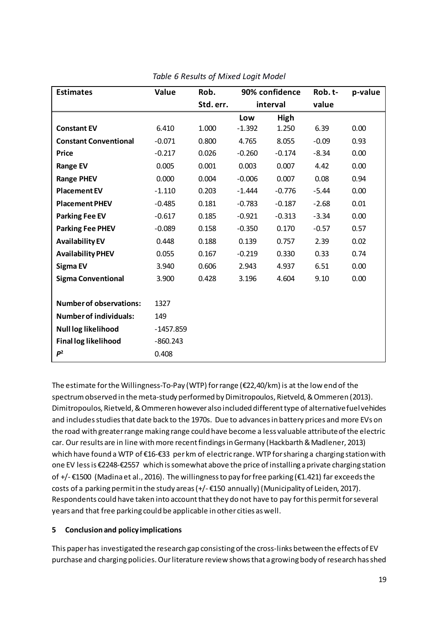| <b>Estimates</b>               | Value       | Rob.     | 90% confidence |          | Rob.t-  | p-value |
|--------------------------------|-------------|----------|----------------|----------|---------|---------|
|                                |             | Std.err. | interval       |          | value   |         |
|                                |             |          | Low            | High     |         |         |
| <b>Constant EV</b>             | 6.410       | 1.000    | $-1.392$       | 1.250    | 6.39    | 0.00    |
| <b>Constant Conventional</b>   | $-0.071$    | 0.800    | 4.765          | 8.055    | $-0.09$ | 0.93    |
| <b>Price</b>                   | $-0.217$    | 0.026    | $-0.260$       | $-0.174$ | $-8.34$ | 0.00    |
| <b>Range EV</b>                | 0.005       | 0.001    | 0.003          | 0.007    | 4.42    | 0.00    |
| <b>Range PHEV</b>              | 0.000       | 0.004    | $-0.006$       | 0.007    | 0.08    | 0.94    |
| <b>Placement EV</b>            | $-1.110$    | 0.203    | $-1.444$       | $-0.776$ | $-5.44$ | 0.00    |
| <b>Placement PHEV</b>          | $-0.485$    | 0.181    | $-0.783$       | $-0.187$ | $-2.68$ | 0.01    |
| <b>Parking Fee EV</b>          | $-0.617$    | 0.185    | $-0.921$       | $-0.313$ | $-3.34$ | 0.00    |
| <b>Parking Fee PHEV</b>        | $-0.089$    | 0.158    | $-0.350$       | 0.170    | $-0.57$ | 0.57    |
| <b>Availability EV</b>         | 0.448       | 0.188    | 0.139          | 0.757    | 2.39    | 0.02    |
| <b>Availability PHEV</b>       | 0.055       | 0.167    | $-0.219$       | 0.330    | 0.33    | 0.74    |
| Sigma EV                       | 3.940       | 0.606    | 2.943          | 4.937    | 6.51    | 0.00    |
| <b>Sigma Conventional</b>      | 3.900       | 0.428    | 3.196          | 4.604    | 9.10    | 0.00    |
|                                |             |          |                |          |         |         |
| <b>Number of observations:</b> | 1327        |          |                |          |         |         |
| <b>Number of individuals:</b>  | 149         |          |                |          |         |         |
| <b>Null log likelihood</b>     | $-1457.859$ |          |                |          |         |         |
| <b>Final log likelihood</b>    | $-860.243$  |          |                |          |         |         |
| $P^2$                          | 0.408       |          |                |          |         |         |

#### *Table 6 Results of Mixed Logit Model*

The estimate for the Willingness-To-Pay (WTP) for range (€22,40/km) is at the low end of the spectrum observed in the meta-study performed by Dimitropoulos, Rietveld, & Ommeren (2013). Dimitropoulos, Rietveld, & Ommeren however also included different type of alternative fuel vehicles and includes studies that date back to the 1970s. Due to advances in battery prices and more EVs on the road with greater range making range could have become a less valuable attribute of the electric car. Our results are in line with more recent findings in Germany (Hackbarth & Madlener, 2013) which have found a WTP of €16-€33 per km of electric range. WTP for sharing a charging station with one EV lessis €2248-€2557 which is somewhat above the price of installing a private charging station of +/- €1500 (Madina et al., 2016). The willingness to pay for free parking (€1.421) far exceeds the costs of a parking permit in the study areas  $(+)$ -  $E$ 150 annually) (Municipality of Leiden, 2017). Respondents could have taken into account that they do not have to pay for this permit for several years and that free parking could be applicable in other cities as well.

## **5 Conclusion and policy implications**

This paper has investigated the research gap consisting of the cross-links between the effects of EV purchase and charging policies. Ourliterature review shows that a growing body of research has shed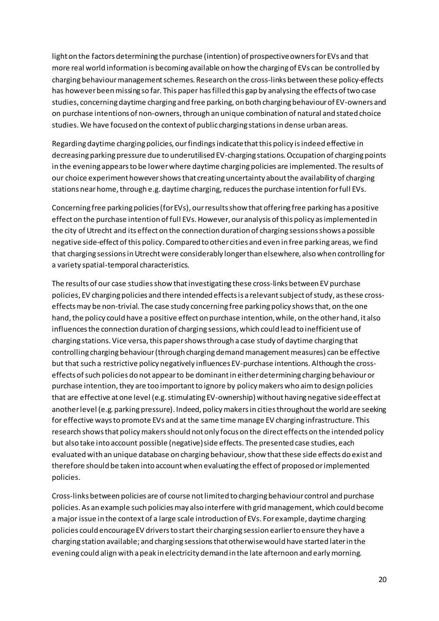light on the factors determining the purchase (intention) of prospective owners for EVs and that more real world information is becoming available on how the charging of EVs can be controlled by charging behaviour management schemes. Research on the cross-links between these policy-effects has howeverbeen missing so far. This paper hasfilled this gap by analysing the effects of two case studies, concerning daytime charging and free parking, on both charging behaviour of EV-owners and on purchase intentions of non-owners,through an unique combination of natural and stated choice studies. We have focused on the context of public charging stations in dense urban areas.

Regarding daytime charging policies, our findings indicate that this policy is indeed effective in decreasing parking pressure due to underutilised EV-charging stations. Occupation of charging points in the evening appears to be lower where daytime charging policies are implemented. The results of our choice experiment however shows that creating uncertainty about the availability of charging stations near home, through e.g. daytime charging, reduces the purchase intention for full EVs.

Concerning free parking policies (for EVs), ourresults show that offering free parking has a positive effect on the purchase intention of full EVs. However, our analysis of this policy asimplemented in the city of Utrecht and its effect on the connection duration of charging sessions shows a possible negative side-effect of this policy. Compared to other cities and even in free parking areas, we find that charging sessions in Utrecht were considerably longerthan elsewhere, also when controlling for a variety spatial-temporal characteristics.

The results of our case studies show that investigating these cross-links between EV purchase policies, EV charging policies and there intended effects is a relevant subject of study, as these crosseffects may be non-trivial. The case study concerning free parking policy shows that, on the one hand, the policy could have a positive effect on purchase intention, while, on the other hand, it also influences the connection duration of charging sessions, which could lead to inefficient use of charging stations. Vice versa, this paper shows through a case study of daytime charging that controlling charging behaviour (through charging demand management measures) can be effective but that such a restrictive policy negatively influences EV-purchase intentions. Although the crosseffects of such policies do not appear to be dominant in either determining charging behaviour or purchase intention, they are too important to ignore by policy makerswho aim to design policies that are effective at one level (e.g. stimulating EV-ownership) without having negative side effect at another level (e.g. parking pressure). Indeed, policy makers in cities throughout the world are seeking for effective ways to promote EVs and at the same time manage EV charging infrastructure. This research showsthat policy makers should not only focus on the direct effects on the intended policy but also take into account possible (negative) side effects. The presented case studies, each evaluated with an unique database on charging behaviour, show that these side effects do exist and therefore should be taken into account when evaluating the effect of proposed or implemented policies.

Cross-links between policies are of course not limited to charging behaviour control and purchase policies. As an example such policies may also interfere with grid management, which could become a major issue in the context of a large scale introduction of EVs. For example, daytime charging policies could encourage EV drivers to start their charging session earlier to ensure they have a charging station available; and charging sessions that otherwise would have started later in the evening could align with a peak in electricity demand in the late afternoon and early morning.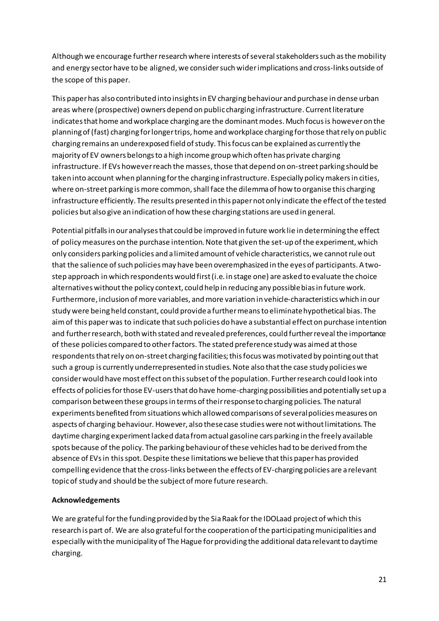Although we encourage further research where interests of several stakeholders such as the mobility and energy sector have to be aligned, we consider such wider implications and cross-links outside of the scope of this paper.

This paper has also contributed into insights in EV charging behaviour and purchase in dense urban areas where (prospective) owners depend on public charging infrastructure. Current literature indicates that home and workplace charging are the dominant modes. Much focus is howeveron the planning of (fast) charging for longer trips, home and workplace charging for those that rely on public charging remains an underexposed field of study. This focus can be explained as currently the majority of EV owners belongs to a high income group which often has private charging infrastructure. If EVs however reach the masses, those that depend on on-street parking should be taken into account when planning for the charging infrastructure. Especially policy makers in cities, where on-street parking is more common, shall face the dilemma of how to organise this charging infrastructure efficiently. The results presented in this paper not only indicate the effect of the tested policies but also give an indication of how these charging stations are used in general.

Potential pitfalls in our analysesthat could be improved in future work lie in determining the effect of policy measures on the purchase intention. Note that given the set-up of the experiment, which only considers parking policies and a limited amount of vehicle characteristics, we cannot rule out that the salience of such policies may have been overemphasized in the eyes of participants. A twostep approach in which respondents would first (i.e. in stage one) are asked to evaluate the choice alternatives without the policy context, could help in reducing any possible bias in future work. Furthermore, inclusion of more variables, and more variation in vehicle-characteristics which in our study were being held constant, could provide a further means to eliminate hypothetical bias. The aim of this paper was to indicate that such policies do have a substantial effect on purchase intention and further research, both with stated and revealed preferences, could further reveal the importance of these policies compared to other factors. The stated preference study was aimed at those respondents that rely on on-street charging facilities; this focus was motivated by pointing out that such a group is currently underrepresented in studies. Note also that the case study policies we consider would have most effect on this subset of the population. Further research could look into effects of policies for those EV-users that do have home-charging possibilities and potentially set up a comparison between these groups in terms of their response to charging policies. The natural experiments benefited from situations which allowed comparisons of several policies measures on aspects of charging behaviour. However, also these case studies were not without limitations. The daytime charging experiment lacked data from actual gasoline cars parking in the freely available spots because of the policy. The parking behaviour of these vehicles had to be derived from the absence of EVs in this spot. Despite these limitations we believe that this paper has provided compelling evidence that the cross-links between the effects of EV-charging policies are a relevant topic of study and should be the subject of more future research.

## **Acknowledgements**

We are grateful for the funding provided by the Sia Raak for the IDOLaad project of which this research is part of. We are also grateful for the cooperation of the participating municipalities and especially with the municipality of The Hague for providing the additional data relevant to daytime charging.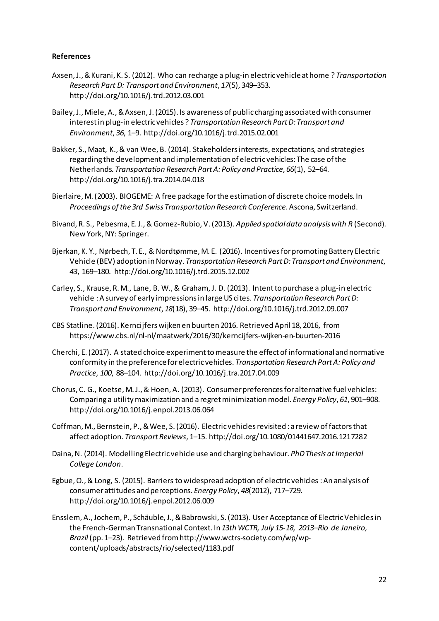#### **References**

- Axsen, J., & Kurani, K. S. (2012). Who can recharge a plug-in electric vehicle at home ? *Transportation Research Part D: Transport and Environment*, *17*(5), 349–353. http://doi.org/10.1016/j.trd.2012.03.001
- Bailey, J., Miele, A., & Axsen, J. (2015). Is awareness of public charging associated with consumer interest in plug-in electric vehicles ? *Transportation Research Part D: Transport and Environment*, *36*, 1–9. http://doi.org/10.1016/j.trd.2015.02.001
- Bakker, S., Maat, K., & van Wee, B. (2014). Stakeholders interests, expectations, and strategies regarding the development and implementation of electric vehicles: The case of the Netherlands. *Transportation Research Part A: Policy and Practice*, *66*(1), 52–64. http://doi.org/10.1016/j.tra.2014.04.018
- Bierlaire, M. (2003). BIOGEME: A free package for the estimation of discrete choice models. In *Proceedings of the 3rd Swiss Transportation Research Conference*. Ascona, Switzerland.
- Bivand, R. S., Pebesma, E. J., & Gomez-Rubio, V. (2013). *Applied spatial data analysis with R* (Second). New York, NY: Springer.
- Bjerkan, K. Y., Nørbech, T. E., & Nordtømme, M. E. (2016). Incentives for promoting Battery Electric Vehicle (BEV) adoption in Norway. *Transportation Research Part D: Transport and Environment*, *43*, 169–180. http://doi.org/10.1016/j.trd.2015.12.002
- Carley, S., Krause, R. M., Lane, B. W., & Graham, J. D. (2013). Intent to purchase a plug-in electric vehicle : A survey of early impressions in large US cites. *Transportation Research Part D: Transport and Environment*, *18*(18), 39–45. http://doi.org/10.1016/j.trd.2012.09.007
- CBS Statline. (2016). Kerncijfers wijken en buurten 2016. Retrieved April 18, 2016, from https://www.cbs.nl/nl-nl/maatwerk/2016/30/kerncijfers-wijken-en-buurten-2016
- Cherchi, E. (2017). A stated choice experiment to measure the effect of informational and normative conformity in the preference for electric vehicles. *Transportation Research Part A: Policy and Practice*, *100*, 88–104. http://doi.org/10.1016/j.tra.2017.04.009
- Chorus, C. G., Koetse, M. J., & Hoen, A. (2013). Consumer preferences for alternative fuel vehicles: Comparing a utility maximization and a regret minimization model. *Energy Policy*, *61*, 901–908. http://doi.org/10.1016/j.enpol.2013.06.064
- Coffman, M., Bernstein, P., & Wee, S. (2016). Electric vehicles revisited : a review of factors that affect adoption. *Transport Reviews*, 1–15. http://doi.org/10.1080/01441647.2016.1217282
- Daina, N. (2014). Modelling Electric vehicle use and charging behaviour. *PhD Thesis at Imperial College London*.
- Egbue, O., & Long, S. (2015). Barriers to widespread adoption of electric vehicles : An analysis of consumer attitudes and perceptions. *Energy Policy*, *48*(2012), 717–729. http://doi.org/10.1016/j.enpol.2012.06.009
- Ensslem, A., Jochem, P., Schäuble, J., & Babrowski, S. (2013). User Acceptance of Electric Vehicles in the French-German Transnational Context. In *13th WCTR, July 15-18, 2013–Rio de Janeiro, Brazil* (pp. 1–23). Retrieved from http://www.wctrs-society.com/wp/wpcontent/uploads/abstracts/rio/selected/1183.pdf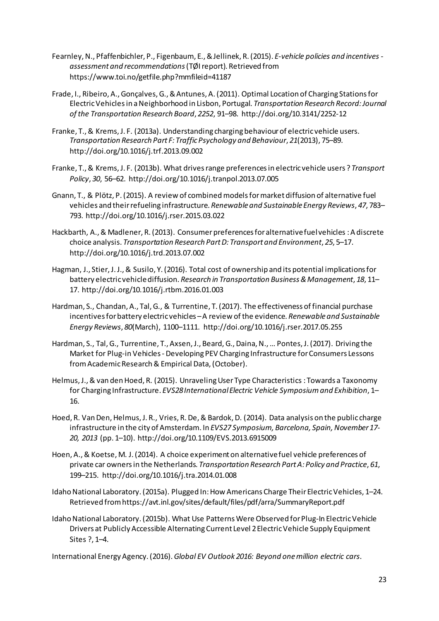- Fearnley, N., Pfaffenbichler, P., Figenbaum, E., & Jellinek, R. (2015). *E-vehicle policies and incentives assessment and recommendations*(TØI report). Retrieved from https://www.toi.no/getfile.php?mmfileid=41187
- Frade, I., Ribeiro, A., Gonçalves, G., & Antunes, A. (2011). Optimal Location of Charging Stations for Electric Vehicles in a Neighborhood in Lisbon, Portugal. *Transportation Research Record: Journal of the Transportation Research Board*, *2252*, 91–98. http://doi.org/10.3141/2252-12
- Franke, T., & Krems, J. F. (2013a). Understanding charging behaviour of electric vehicle users. *Transportation Research Part F: Traffic Psychology and Behaviour*, *21*(2013), 75–89. http://doi.org/10.1016/j.trf.2013.09.002
- Franke, T., & Krems, J. F. (2013b). What drives range preferences in electric vehicle users ? *Transport Policy*, *30*, 56–62. http://doi.org/10.1016/j.tranpol.2013.07.005
- Gnann, T., & Plötz, P. (2015). A review of combined models for market diffusion of alternative fuel vehicles and their refueling infrastructure. *Renewable and Sustainable Energy Reviews*, *47*, 783– 793. http://doi.org/10.1016/j.rser.2015.03.022
- Hackbarth, A., & Madlener, R. (2013). Consumer preferences for alternative fuel vehicles : A discrete choice analysis. *Transportation Research Part D: Transport and Environment*, *25*, 5–17. http://doi.org/10.1016/j.trd.2013.07.002
- Hagman, J., Stier, J. J., & Susilo, Y. (2016). Total cost of ownership and its potential implications for battery electric vehicle diffusion. *Research in Transportation Business & Management*, *18*, 11– 17. http://doi.org/10.1016/j.rtbm.2016.01.003
- Hardman, S., Chandan, A., Tal, G., & Turrentine, T. (2017). The effectiveness of financial purchase incentives for battery electric vehicles –A review of the evidence. *Renewable and Sustainable Energy Reviews*, *80*(March), 1100–1111. http://doi.org/10.1016/j.rser.2017.05.255
- Hardman, S., Tal, G., Turrentine, T., Axsen, J., Beard, G., Daina, N., … Pontes, J. (2017). Driving the Market for Plug-in Vehicles - Developing PEV Charging Infrastructure for Consumers Lessons from Academic Research & Empirical Data, (October).
- Helmus, J., & van den Hoed, R. (2015). Unraveling User Type Characteristics : Towards a Taxonomy for Charging Infrastructure. *EVS28 International Electric Vehicle Symposium and Exhibition*, 1– 16.
- Hoed, R. Van Den, Helmus, J. R., Vries, R. De, & Bardok, D. (2014). Data analysis on the public charge infrastructure in the city of Amsterdam. In *EVS27 Symposium, Barcelona, Spain, November 17- 20, 2013* (pp. 1–10). http://doi.org/10.1109/EVS.2013.6915009
- Hoen, A., & Koetse, M. J. (2014). A choice experiment on alternative fuel vehicle preferences of private car owners in the Netherlands. *Transportation Research Part A: Policy and Practice*, *61*, 199–215. http://doi.org/10.1016/j.tra.2014.01.008
- Idaho National Laboratory. (2015a). Plugged In: How Americans Charge Their Electric Vehicles, 1–24. Retrieved fromhttps://avt.inl.gov/sites/default/files/pdf/arra/SummaryReport.pdf
- Idaho National Laboratory. (2015b). What Use Patterns Were Observed for Plug-In Electric Vehicle Drivers at Publicly Accessible Alternating Current Level 2 Electric Vehicle Supply Equipment Sites ?, 1–4.

International Energy Agency. (2016). *Global EV Outlook 2016: Beyond one million electric cars*.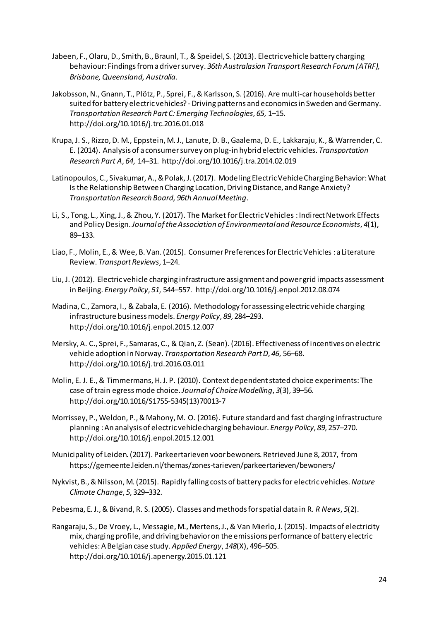- Jabeen, F., Olaru, D., Smith, B., Braunl, T., & Speidel, S. (2013). Electric vehicle battery charging behaviour: Findings from a driver survey. *36th Australasian Transport Research Forum (ATRF), Brisbane, Queensland, Australia*.
- Jakobsson, N., Gnann, T., Plötz, P., Sprei, F., & Karlsson, S. (2016). Are multi-car households better suited for battery electric vehicles? - Driving patterns and economicsin Sweden and Germany. *Transportation Research Part C: Emerging Technologies*, *65*, 1–15. http://doi.org/10.1016/j.trc.2016.01.018
- Krupa, J. S., Rizzo, D. M., Eppstein, M. J., Lanute, D. B., Gaalema, D. E., Lakkaraju, K., & Warrender, C. E. (2014). Analysis of a consumer survey on plug-in hybrid electric vehicles. *Transportation Research Part A*, *64*, 14–31. http://doi.org/10.1016/j.tra.2014.02.019
- Latinopoulos, C., Sivakumar, A., & Polak, J. (2017). Modeling Electric Vehicle Charging Behavior: What Is the Relationship Between Charging Location, Driving Distance, and Range Anxiety? *Transportation Research Board, 96th Annual Meeting*.
- Li, S., Tong, L., Xing, J., & Zhou, Y. (2017). The Market for Electric Vehicles : Indirect Network Effects and Policy Design. *Journal of the Association of Environmental and Resource Economists*, *4*(1), 89–133.
- Liao, F., Molin, E., & Wee, B. Van. (2015). Consumer Preferences for Electric Vehicles : a Literature Review. *Transport Reviews*, 1–24.
- Liu, J. (2012). Electric vehicle charging infrastructure assignment and power grid impacts assessment in Beijing. *Energy Policy*, *51*, 544–557. http://doi.org/10.1016/j.enpol.2012.08.074
- Madina, C., Zamora, I., & Zabala, E. (2016). Methodology for assessing electric vehicle charging infrastructure business models. *Energy Policy*, *89*, 284–293. http://doi.org/10.1016/j.enpol.2015.12.007
- Mersky, A. C., Sprei, F., Samaras, C., & Qian, Z. (Sean). (2016). Effectiveness of incentives on electric vehicle adoption in Norway. *Transportation Research Part D*, *46*, 56–68. http://doi.org/10.1016/j.trd.2016.03.011
- Molin, E. J. E., & Timmermans, H. J. P. (2010). Context dependent stated choice experiments: The case of train egress mode choice. *Journal of Choice Modelling*, *3*(3), 39–56. http://doi.org/10.1016/S1755-5345(13)70013-7
- Morrissey, P., Weldon, P., & Mahony, M. O. (2016). Future standard and fast charging infrastructure planning : An analysis of electric vehicle charging behaviour. *Energy Policy*, *89*, 257–270. http://doi.org/10.1016/j.enpol.2015.12.001
- Municipality of Leiden. (2017). Parkeertarieven voor bewoners. Retrieved June 8, 2017, from https://gemeente.leiden.nl/themas/zones-tarieven/parkeertarieven/bewoners/
- Nykvist, B., & Nilsson, M. (2015). Rapidly falling costs of battery packs for electric vehicles. *Nature Climate Change*, *5*, 329–332.
- Pebesma, E. J., & Bivand, R. S. (2005). Classes and methods for spatial data in R. *R News*, *5*(2).
- Rangaraju, S., De Vroey, L., Messagie, M., Mertens, J., & Van Mierlo, J. (2015). Impacts of electricity mix, charging profile, and driving behavior on the emissions performance of battery electric vehicles: A Belgian case study. *Applied Energy*, *148*(X), 496–505. http://doi.org/10.1016/j.apenergy.2015.01.121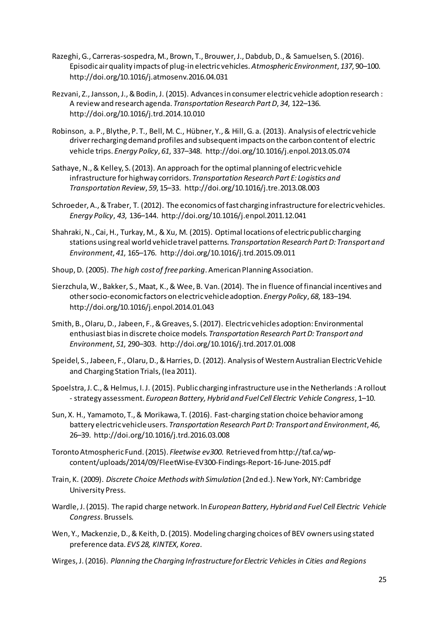- Razeghi, G., Carreras-sospedra, M., Brown, T., Brouwer, J., Dabdub, D., & Samuelsen, S. (2016). Episodic air quality impacts of plug-in electric vehicles. *Atmospheric Environment*, *137*, 90–100. http://doi.org/10.1016/j.atmosenv.2016.04.031
- Rezvani, Z., Jansson, J., & Bodin, J. (2015). Advances in consumer electric vehicle adoption research : A review and research agenda. *Transportation Research Part D*, *34*, 122–136. http://doi.org/10.1016/j.trd.2014.10.010
- Robinson, a. P., Blythe, P. T., Bell, M. C., Hübner, Y., & Hill, G. a. (2013). Analysis of electric vehicle driver recharging demand profiles and subsequent impacts on the carbon content of electric vehicle trips. *Energy Policy*, *61*, 337–348. http://doi.org/10.1016/j.enpol.2013.05.074
- Sathaye, N., & Kelley, S. (2013). An approach for the optimal planning of electric vehicle infrastructure for highway corridors. *Transportation Research Part E: Logistics and Transportation Review*, *59*, 15–33. http://doi.org/10.1016/j.tre.2013.08.003
- Schroeder, A., & Traber, T. (2012). The economics of fast charging infrastructure for electric vehicles. *Energy Policy*, *43*, 136–144. http://doi.org/10.1016/j.enpol.2011.12.041
- Shahraki, N., Cai, H., Turkay, M., & Xu, M. (2015). Optimal locations of electric public charging stations using real world vehicle travel patterns. *Transportation Research Part D: Transport and Environment*, *41*, 165–176. http://doi.org/10.1016/j.trd.2015.09.011
- Shoup, D. (2005). *The high cost of free parking*. American Planning Association.
- Sierzchula, W., Bakker, S., Maat, K., & Wee, B. Van. (2014). The in fluence of financial incentives and other socio-economic factors on electric vehicle adoption. *Energy Policy*, *68*, 183–194. http://doi.org/10.1016/j.enpol.2014.01.043
- Smith, B., Olaru, D., Jabeen, F., & Greaves, S. (2017). Electric vehicles adoption: Environmental enthusiast bias in discrete choice models. *Transportation Research Part D: Transport and Environment*, *51*, 290–303. http://doi.org/10.1016/j.trd.2017.01.008
- Speidel, S., Jabeen, F., Olaru, D., & Harries, D. (2012). Analysis of Western Australian Electric Vehicle and Charging Station Trials, (Iea 2011).
- Spoelstra, J. C., & Helmus, I. J. (2015). Public charging infrastructure use in the Netherlands : A rollout - strategy assessment. *European Battery, Hybrid and Fuel Cell Electric Vehicle Congress*, 1–10.
- Sun, X. H., Yamamoto, T., & Morikawa, T. (2016). Fast-charging station choice behavior among battery electric vehicle users. *Transportation Research Part D: Transport and Environment*, *46*, 26–39. http://doi.org/10.1016/j.trd.2016.03.008
- Toronto Atmospheric Fund. (2015). *Fleetwise ev300*. Retrieved from http://taf.ca/wpcontent/uploads/2014/09/FleetWise-EV300-Findings-Report-16-June-2015.pdf
- Train, K. (2009). *Discrete Choice Methods with Simulation* (2nd ed.). New York, NY: Cambridge University Press.
- Wardle, J. (2015). The rapid charge network. In *European Battery, Hybrid and Fuel Cell Electric Vehicle Congress*. Brussels.
- Wen, Y., Mackenzie, D., & Keith, D. (2015). Modeling charging choices of BEV owners using stated preference data. *EVS 28, KINTEX, Korea*.
- Wirges, J. (2016). *Planning the Charging Infrastructure for Electric Vehicles in Cities and Regions*